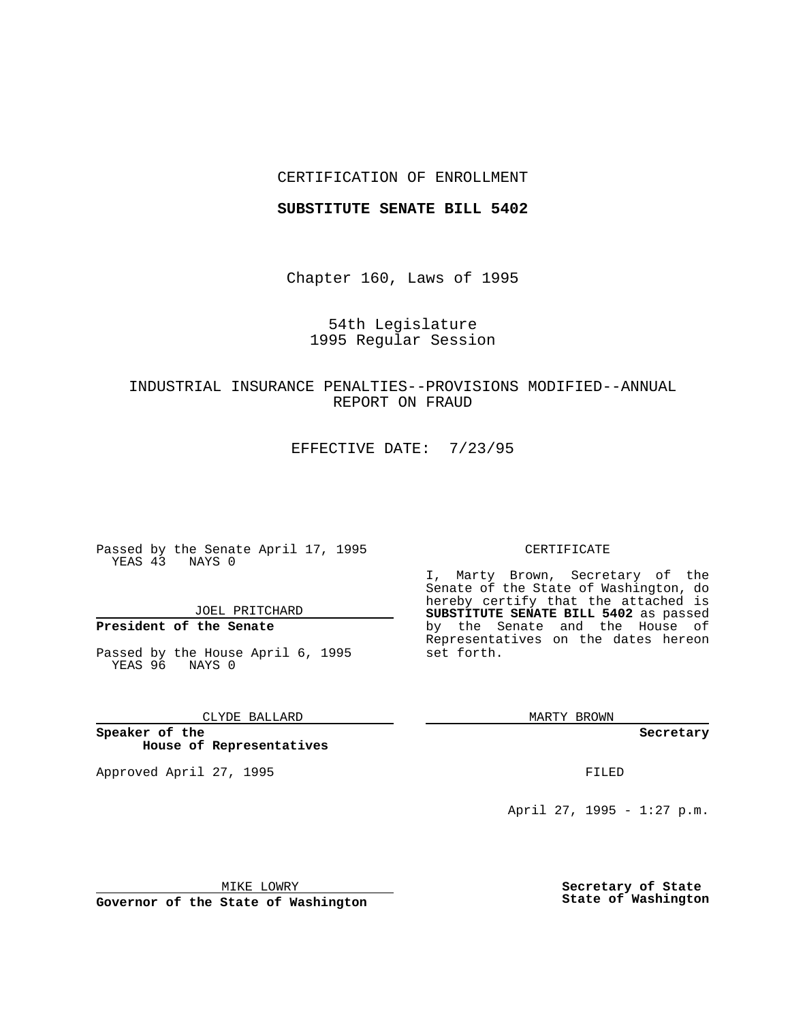## CERTIFICATION OF ENROLLMENT

### **SUBSTITUTE SENATE BILL 5402**

Chapter 160, Laws of 1995

## 54th Legislature 1995 Regular Session

# INDUSTRIAL INSURANCE PENALTIES--PROVISIONS MODIFIED--ANNUAL REPORT ON FRAUD

EFFECTIVE DATE: 7/23/95

Passed by the Senate April 17, 1995 YEAS 43 NAYS 0

JOEL PRITCHARD

# **President of the Senate**

Passed by the House April 6, 1995 YEAS 96 NAYS 0

CLYDE BALLARD

**Speaker of the House of Representatives**

Approved April 27, 1995 FILED

#### CERTIFICATE

I, Marty Brown, Secretary of the Senate of the State of Washington, do hereby certify that the attached is **SUBSTITUTE SENATE BILL 5402** as passed by the Senate and the House of Representatives on the dates hereon set forth.

MARTY BROWN

**Secretary**

April 27, 1995 - 1:27 p.m.

MIKE LOWRY

**Governor of the State of Washington**

**Secretary of State State of Washington**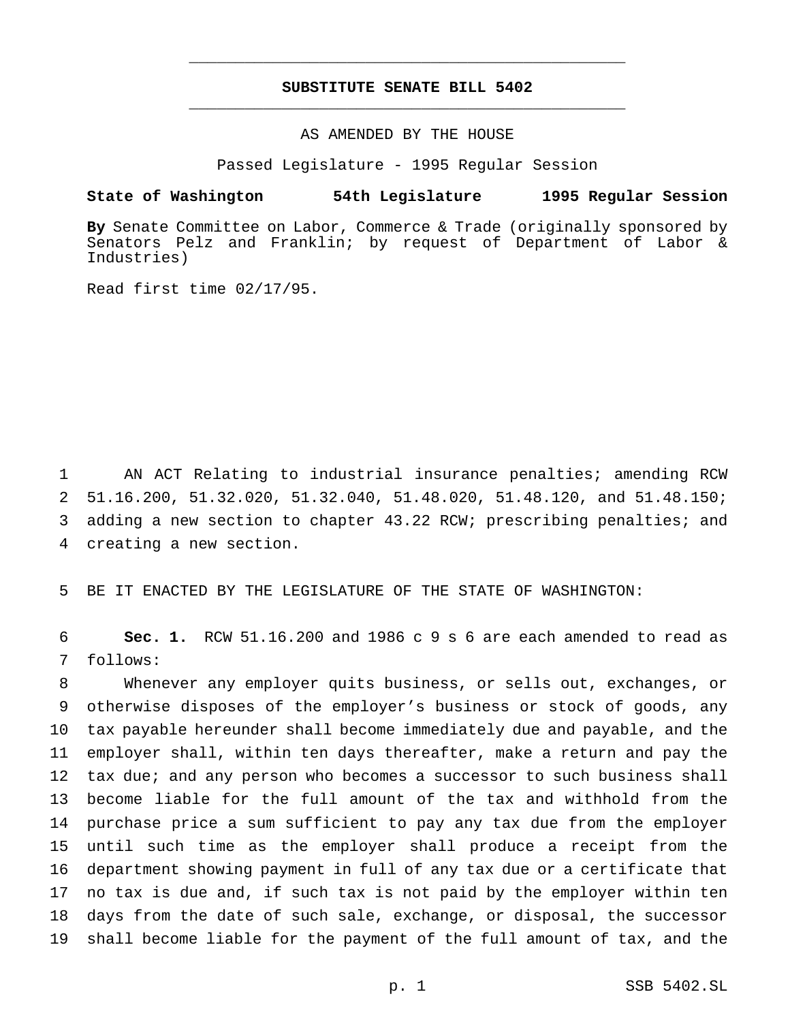# **SUBSTITUTE SENATE BILL 5402** \_\_\_\_\_\_\_\_\_\_\_\_\_\_\_\_\_\_\_\_\_\_\_\_\_\_\_\_\_\_\_\_\_\_\_\_\_\_\_\_\_\_\_\_\_\_\_

\_\_\_\_\_\_\_\_\_\_\_\_\_\_\_\_\_\_\_\_\_\_\_\_\_\_\_\_\_\_\_\_\_\_\_\_\_\_\_\_\_\_\_\_\_\_\_

## AS AMENDED BY THE HOUSE

Passed Legislature - 1995 Regular Session

### **State of Washington 54th Legislature 1995 Regular Session**

**By** Senate Committee on Labor, Commerce & Trade (originally sponsored by Senators Pelz and Franklin; by request of Department of Labor & Industries)

Read first time 02/17/95.

 AN ACT Relating to industrial insurance penalties; amending RCW 51.16.200, 51.32.020, 51.32.040, 51.48.020, 51.48.120, and 51.48.150; adding a new section to chapter 43.22 RCW; prescribing penalties; and creating a new section.

BE IT ENACTED BY THE LEGISLATURE OF THE STATE OF WASHINGTON:

 **Sec. 1.** RCW 51.16.200 and 1986 c 9 s 6 are each amended to read as follows:

 Whenever any employer quits business, or sells out, exchanges, or otherwise disposes of the employer's business or stock of goods, any tax payable hereunder shall become immediately due and payable, and the employer shall, within ten days thereafter, make a return and pay the tax due; and any person who becomes a successor to such business shall become liable for the full amount of the tax and withhold from the purchase price a sum sufficient to pay any tax due from the employer until such time as the employer shall produce a receipt from the department showing payment in full of any tax due or a certificate that no tax is due and, if such tax is not paid by the employer within ten days from the date of such sale, exchange, or disposal, the successor shall become liable for the payment of the full amount of tax, and the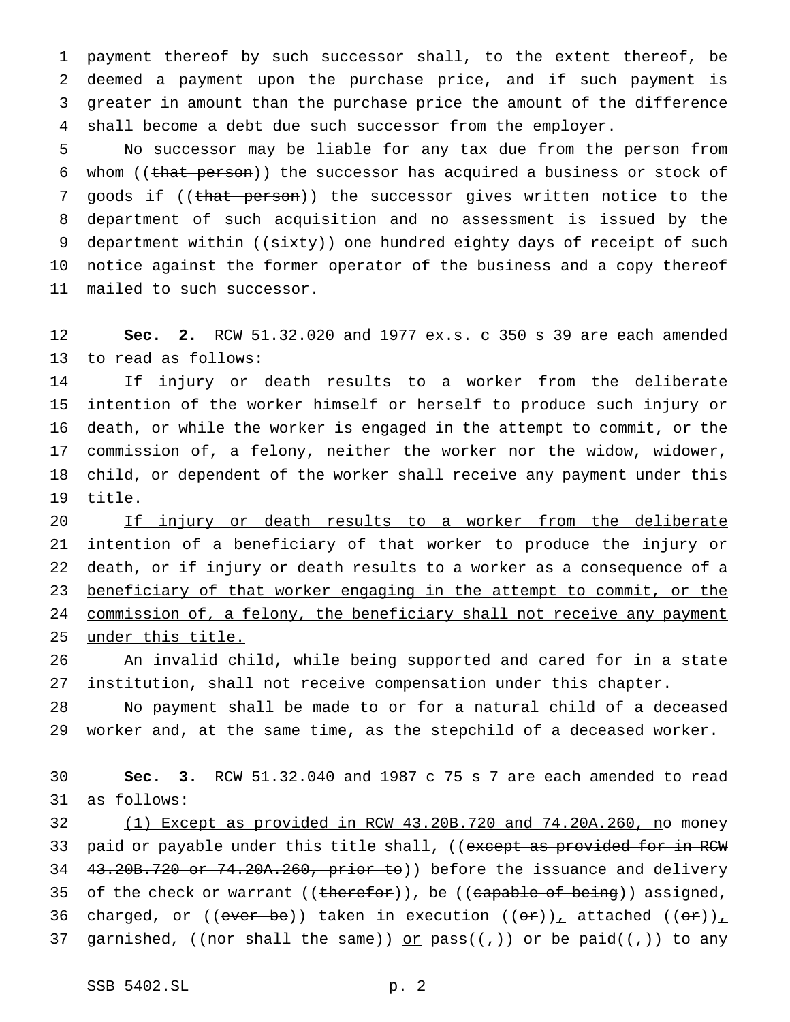payment thereof by such successor shall, to the extent thereof, be deemed a payment upon the purchase price, and if such payment is greater in amount than the purchase price the amount of the difference 4 shall become a debt due such successor from the employer.

 No successor may be liable for any tax due from the person from 6 whom ((that person)) the successor has acquired a business or stock of 7 goods if ((that person)) the successor gives written notice to the department of such acquisition and no assessment is issued by the 9 department within ((sixty)) one hundred eighty days of receipt of such notice against the former operator of the business and a copy thereof mailed to such successor.

 **Sec. 2.** RCW 51.32.020 and 1977 ex.s. c 350 s 39 are each amended to read as follows:

 If injury or death results to a worker from the deliberate intention of the worker himself or herself to produce such injury or death, or while the worker is engaged in the attempt to commit, or the commission of, a felony, neither the worker nor the widow, widower, child, or dependent of the worker shall receive any payment under this title.

 If injury or death results to a worker from the deliberate 21 intention of a beneficiary of that worker to produce the injury or death, or if injury or death results to a worker as a consequence of a 23 beneficiary of that worker engaging in the attempt to commit, or the 24 commission of, a felony, the beneficiary shall not receive any payment under this title.

 An invalid child, while being supported and cared for in a state institution, shall not receive compensation under this chapter.

 No payment shall be made to or for a natural child of a deceased worker and, at the same time, as the stepchild of a deceased worker.

 **Sec. 3.** RCW 51.32.040 and 1987 c 75 s 7 are each amended to read as follows:

32 (1) Except as provided in RCW 43.20B.720 and 74.20A.260, no money 33 paid or payable under this title shall, ((except as provided for in RCW 34 43.20B.720 or 74.20A.260, prior to)) before the issuance and delivery 35 of the check or warrant ((therefor)), be ((capable of being)) assigned, 36 charged, or (( $\overline{even}$  be)) taken in execution ( $(\overline{off})_{\perp}$  attached ( $(\overline{off})_{\perp}$ 37 garnished, ((nor shall the same)) or pass( $(\tau)$ ) or be paid( $(\tau)$ ) to any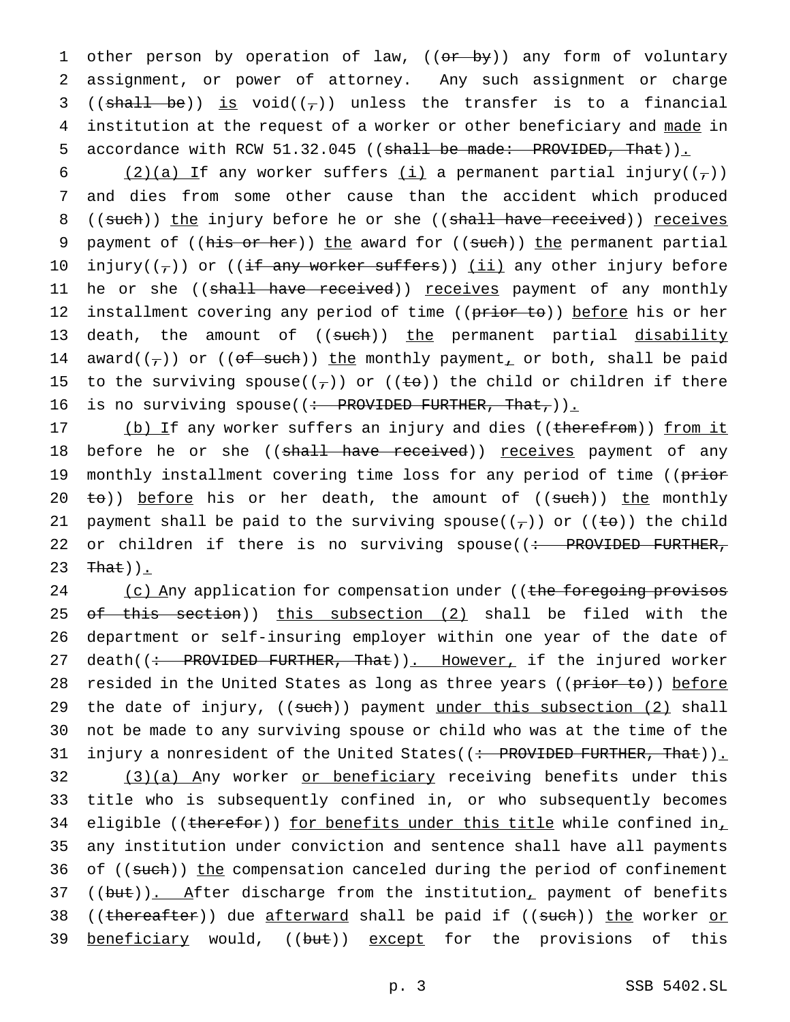1 other person by operation of law, ((or by)) any form of voluntary 2 assignment, or power of attorney. Any such assignment or charge 3 ((shall be)) is void( $(\tau)$ ) unless the transfer is to a financial 4 institution at the request of a worker or other beneficiary and made in 5 accordance with RCW 51.32.045 ((shall be made: PROVIDED, That)).

6 (2)(a) If any worker suffers  $(i)$  a permanent partial injury( $(\tau)$ ) 7 and dies from some other cause than the accident which produced 8 ((such)) the injury before he or she ((shall have received)) receives 9 payment of ((his or her)) the award for ((such)) the permanent partial 10 injury( $(\tau)$ ) or ((if any worker suffers)) (ii) any other injury before 11 he or she ((shall have received)) receives payment of any monthly 12 installment covering any period of time ((prior to)) before his or her 13 death, the amount of ((such)) the permanent partial disability 14 award( $(\tau)$ ) or ((of such)) the monthly payment, or both, shall be paid 15 to the surviving spouse( $(\tau)$ ) or ( $(\pm \theta)$ ) the child or children if there 16 is no surviving spouse( $(\div$  PROVIDED FURTHER, That,)).

17 (b) If any worker suffers an injury and dies ((therefrom)) from it 18 before he or she ((shall have received)) receives payment of any 19 monthly installment covering time loss for any period of time ((prior 20  $\pm$ o)) before his or her death, the amount of ((such)) the monthly 21 payment shall be paid to the surviving spouse( $(\tau)$ ) or ( $(\pm \Theta)$ ) the child 22 or children if there is no surviving spouse( $\left(\div\right)$  PROVIDED FURTHER, 23  $\text{That})$ .

24 (c) Any application for compensation under ((the foregoing provisos 25 of this section)) this subsection (2) shall be filed with the 26 department or self-insuring employer within one year of the date of 27 death((: PROVIDED FURTHER, That)). However, if the injured worker 28 resided in the United States as long as three years ((prior to)) before 29 the date of injury, ((such)) payment under this subsection (2) shall 30 not be made to any surviving spouse or child who was at the time of the 31 injury a nonresident of the United States((: PROVIDED FURTHER, That)). 32 (3)(a) Any worker or beneficiary receiving benefits under this 33 title who is subsequently confined in, or who subsequently becomes 34 eligible ((therefor)) for benefits under this title while confined in, 35 any institution under conviction and sentence shall have all payments 36 of ((such)) the compensation canceled during the period of confinement 37 ((but)). After discharge from the institution, payment of benefits 38 ((thereafter)) due afterward shall be paid if ((such)) the worker or 39 beneficiary would, ((but)) except for the provisions of this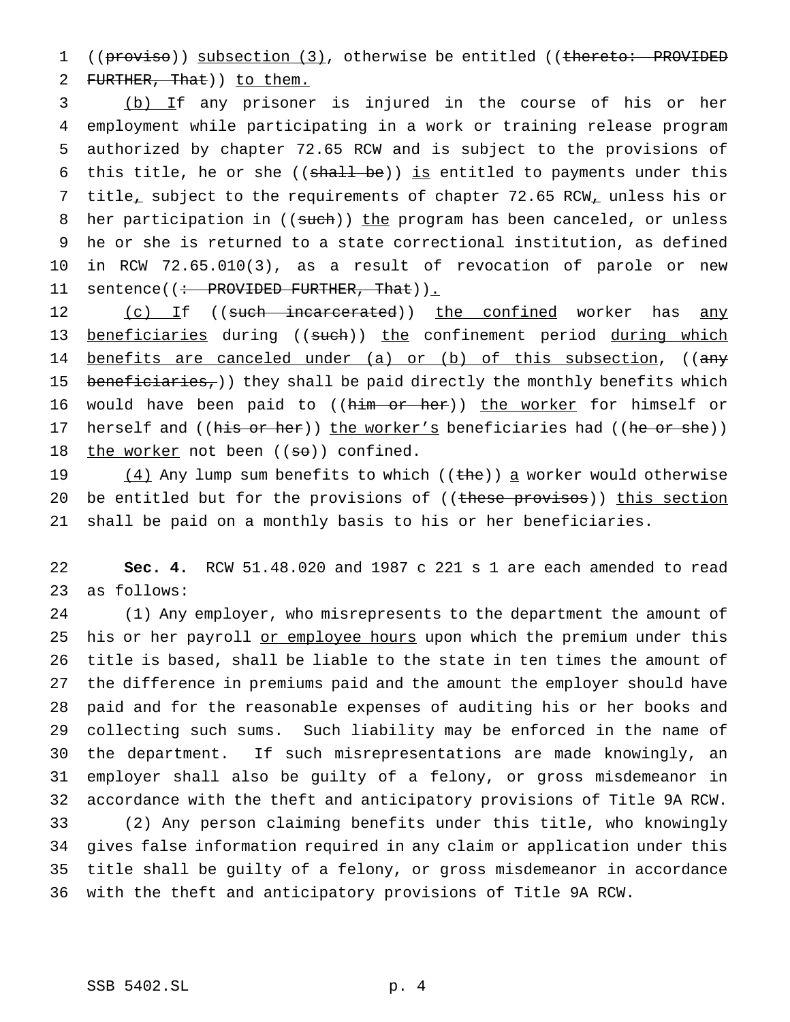1 ((provise)) subsection (3), otherwise be entitled ((thereto: PROVIDED 2 FURTHER, That) ) to them.

 (b) If any prisoner is injured in the course of his or her employment while participating in a work or training release program authorized by chapter 72.65 RCW and is subject to the provisions of 6 this title, he or she (( $shall be$ )) is entitled to payments under this title, subject to the requirements of chapter 72.65 RCW, unless his or 8 her participation in ((such)) the program has been canceled, or unless he or she is returned to a state correctional institution, as defined in RCW 72.65.010(3), as a result of revocation of parole or new 11 sentence((<del>: PROVIDED FURTHER, That</del>)).

12 (c) If ((such incarcerated)) the confined worker has any 13 beneficiaries during ((such)) the confinement period during which 14 benefits are canceled under (a) or (b) of this subsection, ((any 15 beneficiaries,)) they shall be paid directly the monthly benefits which 16 would have been paid to ((him or her)) the worker for himself or 17 herself and ((his or her)) the worker's beneficiaries had ((he or she)) 18 the worker not been  $((\texttt{so}))$  confined.

19  $(4)$  Any lump sum benefits to which ((the)) a worker would otherwise 20 be entitled but for the provisions of ((these provisos)) this section 21 shall be paid on a monthly basis to his or her beneficiaries.

22 **Sec. 4.** RCW 51.48.020 and 1987 c 221 s 1 are each amended to read 23 as follows:

 (1) Any employer, who misrepresents to the department the amount of 25 his or her payroll or employee hours upon which the premium under this title is based, shall be liable to the state in ten times the amount of the difference in premiums paid and the amount the employer should have paid and for the reasonable expenses of auditing his or her books and collecting such sums. Such liability may be enforced in the name of the department. If such misrepresentations are made knowingly, an employer shall also be guilty of a felony, or gross misdemeanor in accordance with the theft and anticipatory provisions of Title 9A RCW. (2) Any person claiming benefits under this title, who knowingly gives false information required in any claim or application under this title shall be guilty of a felony, or gross misdemeanor in accordance with the theft and anticipatory provisions of Title 9A RCW.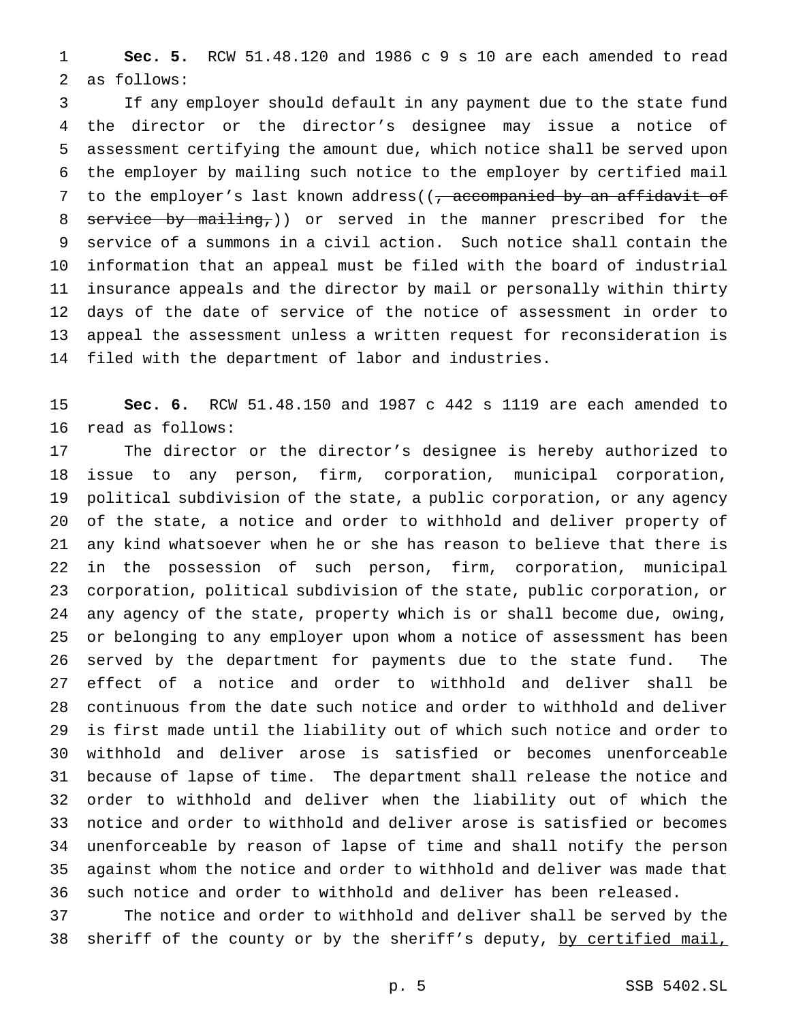**Sec. 5.** RCW 51.48.120 and 1986 c 9 s 10 are each amended to read as follows:

 If any employer should default in any payment due to the state fund the director or the director's designee may issue a notice of assessment certifying the amount due, which notice shall be served upon the employer by mailing such notice to the employer by certified mail 7 to the employer's last known address((, accompanied by an affidavit of 8 service by mailing,)) or served in the manner prescribed for the service of a summons in a civil action. Such notice shall contain the information that an appeal must be filed with the board of industrial insurance appeals and the director by mail or personally within thirty days of the date of service of the notice of assessment in order to appeal the assessment unless a written request for reconsideration is filed with the department of labor and industries.

 **Sec. 6.** RCW 51.48.150 and 1987 c 442 s 1119 are each amended to read as follows:

 The director or the director's designee is hereby authorized to issue to any person, firm, corporation, municipal corporation, political subdivision of the state, a public corporation, or any agency of the state, a notice and order to withhold and deliver property of any kind whatsoever when he or she has reason to believe that there is in the possession of such person, firm, corporation, municipal corporation, political subdivision of the state, public corporation, or any agency of the state, property which is or shall become due, owing, or belonging to any employer upon whom a notice of assessment has been served by the department for payments due to the state fund. The effect of a notice and order to withhold and deliver shall be continuous from the date such notice and order to withhold and deliver is first made until the liability out of which such notice and order to withhold and deliver arose is satisfied or becomes unenforceable because of lapse of time. The department shall release the notice and order to withhold and deliver when the liability out of which the notice and order to withhold and deliver arose is satisfied or becomes unenforceable by reason of lapse of time and shall notify the person against whom the notice and order to withhold and deliver was made that such notice and order to withhold and deliver has been released.

 The notice and order to withhold and deliver shall be served by the 38 sheriff of the county or by the sheriff's deputy, by certified mail,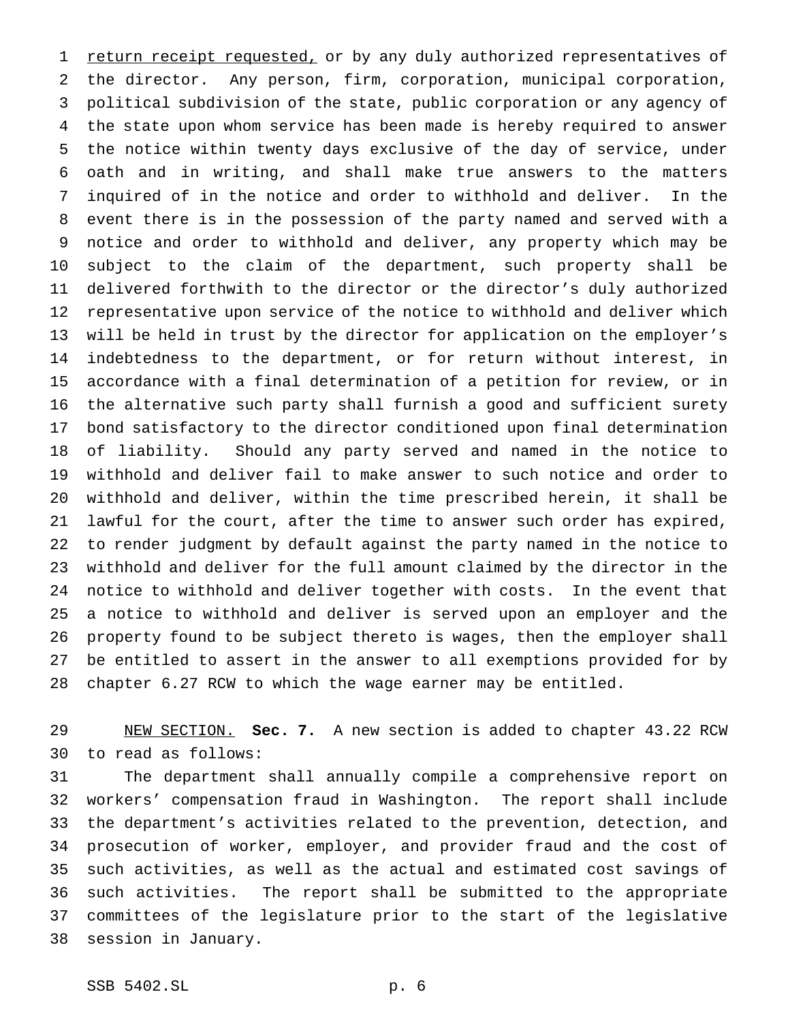1 return receipt requested, or by any duly authorized representatives of the director. Any person, firm, corporation, municipal corporation, political subdivision of the state, public corporation or any agency of the state upon whom service has been made is hereby required to answer the notice within twenty days exclusive of the day of service, under oath and in writing, and shall make true answers to the matters inquired of in the notice and order to withhold and deliver. In the event there is in the possession of the party named and served with a notice and order to withhold and deliver, any property which may be subject to the claim of the department, such property shall be delivered forthwith to the director or the director's duly authorized representative upon service of the notice to withhold and deliver which will be held in trust by the director for application on the employer's indebtedness to the department, or for return without interest, in accordance with a final determination of a petition for review, or in the alternative such party shall furnish a good and sufficient surety bond satisfactory to the director conditioned upon final determination of liability. Should any party served and named in the notice to withhold and deliver fail to make answer to such notice and order to withhold and deliver, within the time prescribed herein, it shall be lawful for the court, after the time to answer such order has expired, to render judgment by default against the party named in the notice to withhold and deliver for the full amount claimed by the director in the notice to withhold and deliver together with costs. In the event that a notice to withhold and deliver is served upon an employer and the property found to be subject thereto is wages, then the employer shall be entitled to assert in the answer to all exemptions provided for by chapter 6.27 RCW to which the wage earner may be entitled.

 NEW SECTION. **Sec. 7.** A new section is added to chapter 43.22 RCW to read as follows:

 The department shall annually compile a comprehensive report on workers' compensation fraud in Washington. The report shall include the department's activities related to the prevention, detection, and prosecution of worker, employer, and provider fraud and the cost of such activities, as well as the actual and estimated cost savings of such activities. The report shall be submitted to the appropriate committees of the legislature prior to the start of the legislative session in January.